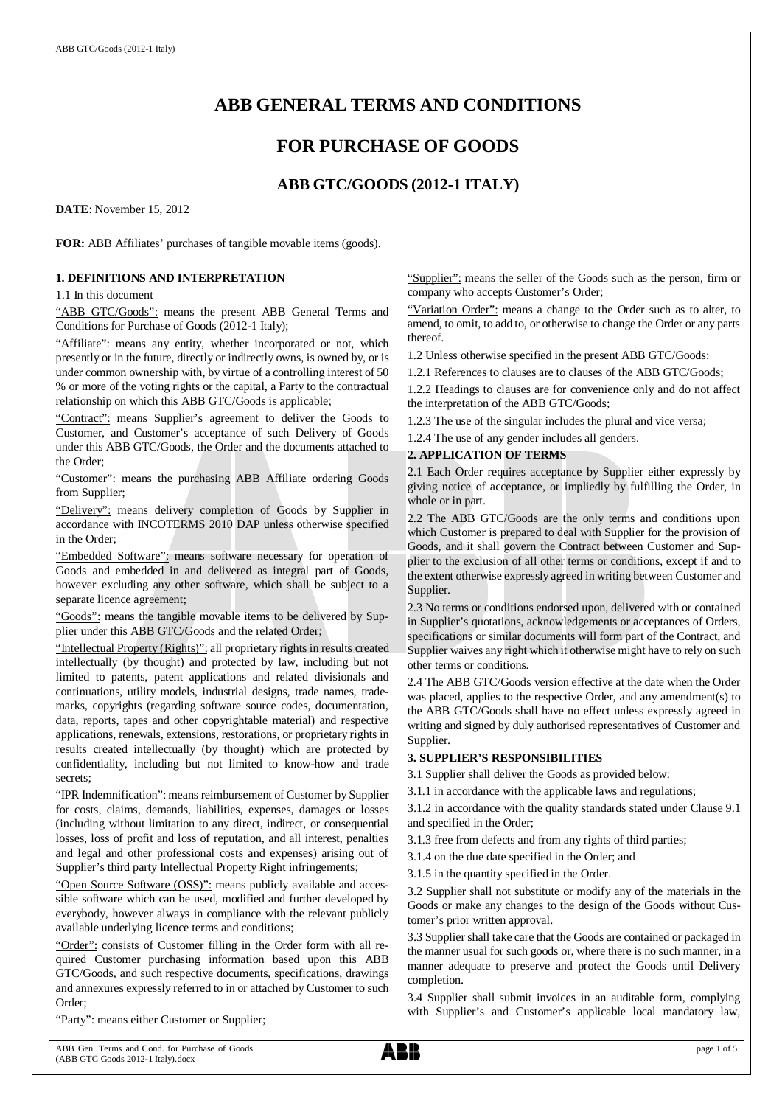# **ABB GENERAL TERMS AND CONDITIONS**

# **FOR PURCHASE OF GOODS**

## **ABB GTC/GOODS (2012-1 ITALY)**

**DATE**: November 15, 2012

**FOR:** ABB Affiliates' purchases of tangible movable items (goods).

## **1. DEFINITIONS AND INTERPRETATION**

1.1 In this document

"ABB GTC/Goods": means the present ABB General Terms and Conditions for Purchase of Goods (2012-1 Italy);

"Affiliate": means any entity, whether incorporated or not, which presently or in the future, directly or indirectly owns, is owned by, or is under common ownership with, by virtue of a controlling interest of 50 % or more of the voting rights or the capital, a Party to the contractual relationship on which this ABB GTC/Goods is applicable;

"Contract": means Supplier's agreement to deliver the Goods to Customer, and Customer's acceptance of such Delivery of Goods under this ABB GTC/Goods, the Order and the documents attached to the Order;

"Customer": means the purchasing ABB Affiliate ordering Goods from Supplier;

"Delivery": means delivery completion of Goods by Supplier in accordance with INCOTERMS 2010 DAP unless otherwise specified in the Order;

"Embedded Software": means software necessary for operation of Goods and embedded in and delivered as integral part of Goods, however excluding any other software, which shall be subject to a separate licence agreement;

"Goods": means the tangible movable items to be delivered by Supplier under this ABB GTC/Goods and the related Order;

"Intellectual Property (Rights)": all proprietary rights in results created intellectually (by thought) and protected by law, including but not limited to patents, patent applications and related divisionals and continuations, utility models, industrial designs, trade names, trademarks, copyrights (regarding software source codes, documentation, data, reports, tapes and other copyrightable material) and respective applications, renewals, extensions, restorations, or proprietary rights in results created intellectually (by thought) which are protected by confidentiality, including but not limited to know-how and trade secrets;

"IPR Indemnification": means reimbursement of Customer by Supplier for costs, claims, demands, liabilities, expenses, damages or losses (including without limitation to any direct, indirect, or consequential losses, loss of profit and loss of reputation, and all interest, penalties and legal and other professional costs and expenses) arising out of Supplier's third party Intellectual Property Right infringements;

"Open Source Software (OSS)": means publicly available and accessible software which can be used, modified and further developed by everybody, however always in compliance with the relevant publicly available underlying licence terms and conditions;

"Order": consists of Customer filling in the Order form with all required Customer purchasing information based upon this ABB GTC/Goods, and such respective documents, specifications, drawings and annexures expressly referred to in or attached by Customer to such Order;

"Party": means either Customer or Supplier;

"Supplier": means the seller of the Goods such as the person, firm or company who accepts Customer's Order;

"Variation Order": means a change to the Order such as to alter, to amend, to omit, to add to, or otherwise to change the Order or any parts thereof.

1.2 Unless otherwise specified in the present ABB GTC/Goods:

1.2.1 References to clauses are to clauses of the ABB GTC/Goods;

1.2.2 Headings to clauses are for convenience only and do not affect the interpretation of the ABB GTC/Goods;

1.2.3 The use of the singular includes the plural and vice versa;

1.2.4 The use of any gender includes all genders.

## **2. APPLICATION OF TERMS**

2.1 Each Order requires acceptance by Supplier either expressly by giving notice of acceptance, or impliedly by fulfilling the Order, in whole or in part.

2.2 The ABB GTC/Goods are the only terms and conditions upon which Customer is prepared to deal with Supplier for the provision of Goods, and it shall govern the Contract between Customer and Supplier to the exclusion of all other terms or conditions, except if and to the extent otherwise expressly agreed in writing between Customer and Supplier.

2.3 No terms or conditions endorsed upon, delivered with or contained in Supplier's quotations, acknowledgements or acceptances of Orders, specifications or similar documents will form part of the Contract, and Supplier waives any right which it otherwise might have to rely on such other terms or conditions.

2.4 The ABB GTC/Goods version effective at the date when the Order was placed, applies to the respective Order, and any amendment(s) to the ABB GTC/Goods shall have no effect unless expressly agreed in writing and signed by duly authorised representatives of Customer and Supplier.

## **3. SUPPLIER'S RESPONSIBILITIES**

3.1 Supplier shall deliver the Goods as provided below:

3.1.1 in accordance with the applicable laws and regulations;

3.1.2 in accordance with the quality standards stated under Clause 9.1 and specified in the Order;

3.1.3 free from defects and from any rights of third parties;

3.1.4 on the due date specified in the Order; and

3.1.5 in the quantity specified in the Order.

3.2 Supplier shall not substitute or modify any of the materials in the Goods or make any changes to the design of the Goods without Customer's prior written approval.

3.3 Supplier shall take care that the Goods are contained or packaged in the manner usual for such goods or, where there is no such manner, in a manner adequate to preserve and protect the Goods until Delivery completion.

3.4 Supplier shall submit invoices in an auditable form, complying with Supplier's and Customer's applicable local mandatory law,

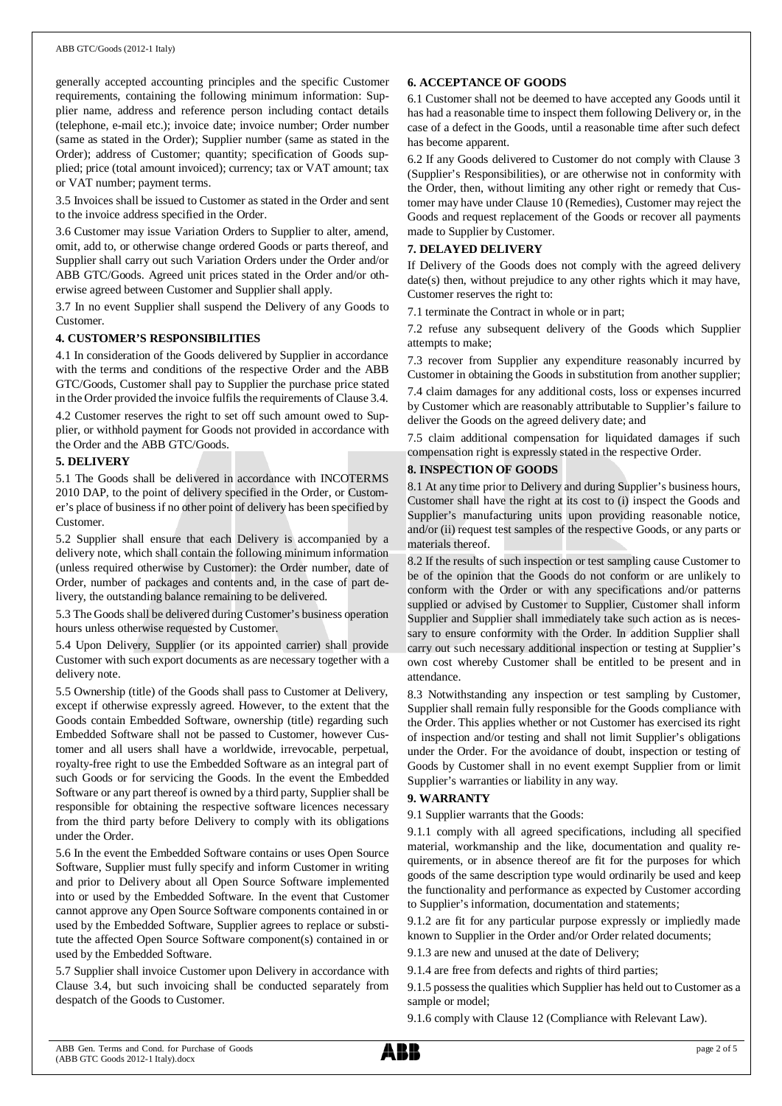### ABB GTC/Goods (2012-1 Italy)

generally accepted accounting principles and the specific Customer requirements, containing the following minimum information: Supplier name, address and reference person including contact details (telephone, e-mail etc.); invoice date; invoice number; Order number (same as stated in the Order); Supplier number (same as stated in the Order); address of Customer; quantity; specification of Goods supplied; price (total amount invoiced); currency; tax or VAT amount; tax or VAT number; payment terms.

3.5 Invoices shall be issued to Customer as stated in the Order and sent to the invoice address specified in the Order.

3.6 Customer may issue Variation Orders to Supplier to alter, amend, omit, add to, or otherwise change ordered Goods or parts thereof, and Supplier shall carry out such Variation Orders under the Order and/or ABB GTC/Goods. Agreed unit prices stated in the Order and/or otherwise agreed between Customer and Supplier shall apply.

3.7 In no event Supplier shall suspend the Delivery of any Goods to Customer.

## **4. CUSTOMER'S RESPONSIBILITIES**

4.1 In consideration of the Goods delivered by Supplier in accordance with the terms and conditions of the respective Order and the ABB GTC/Goods, Customer shall pay to Supplier the purchase price stated in the Order provided the invoice fulfils the requirements of Clause 3.4.

4.2 Customer reserves the right to set off such amount owed to Supplier, or withhold payment for Goods not provided in accordance with the Order and the ABB GTC/Goods.

## **5. DELIVERY**

5.1 The Goods shall be delivered in accordance with INCOTERMS 2010 DAP, to the point of delivery specified in the Order, or Customer's place of business if no other point of delivery has been specified by Customer.

5.2 Supplier shall ensure that each Delivery is accompanied by a delivery note, which shall contain the following minimum information (unless required otherwise by Customer): the Order number, date of Order, number of packages and contents and, in the case of part delivery, the outstanding balance remaining to be delivered.

5.3 The Goods shall be delivered during Customer's business operation hours unless otherwise requested by Customer.

5.4 Upon Delivery, Supplier (or its appointed carrier) shall provide Customer with such export documents as are necessary together with a delivery note.

5.5 Ownership (title) of the Goods shall pass to Customer at Delivery, except if otherwise expressly agreed. However, to the extent that the Goods contain Embedded Software, ownership (title) regarding such Embedded Software shall not be passed to Customer, however Customer and all users shall have a worldwide, irrevocable, perpetual, royalty-free right to use the Embedded Software as an integral part of such Goods or for servicing the Goods. In the event the Embedded Software or any part thereof is owned by a third party, Supplier shall be responsible for obtaining the respective software licences necessary from the third party before Delivery to comply with its obligations under the Order.

5.6 In the event the Embedded Software contains or uses Open Source Software, Supplier must fully specify and inform Customer in writing and prior to Delivery about all Open Source Software implemented into or used by the Embedded Software. In the event that Customer cannot approve any Open Source Software components contained in or used by the Embedded Software, Supplier agrees to replace or substitute the affected Open Source Software component(s) contained in or used by the Embedded Software.

5.7 Supplier shall invoice Customer upon Delivery in accordance with Clause 3.4, but such invoicing shall be conducted separately from despatch of the Goods to Customer.

### **6. ACCEPTANCE OF GOODS**

6.1 Customer shall not be deemed to have accepted any Goods until it has had a reasonable time to inspect them following Delivery or, in the case of a defect in the Goods, until a reasonable time after such defect has become apparent.

6.2 If any Goods delivered to Customer do not comply with Clause 3 (Supplier's Responsibilities), or are otherwise not in conformity with the Order, then, without limiting any other right or remedy that Customer may have under Clause 10 (Remedies), Customer may reject the Goods and request replacement of the Goods or recover all payments made to Supplier by Customer.

## **7. DELAYED DELIVERY**

If Delivery of the Goods does not comply with the agreed delivery date(s) then, without prejudice to any other rights which it may have, Customer reserves the right to:

7.1 terminate the Contract in whole or in part;

7.2 refuse any subsequent delivery of the Goods which Supplier attempts to make;

7.3 recover from Supplier any expenditure reasonably incurred by Customer in obtaining the Goods in substitution from another supplier;

7.4 claim damages for any additional costs, loss or expenses incurred by Customer which are reasonably attributable to Supplier's failure to deliver the Goods on the agreed delivery date; and

7.5 claim additional compensation for liquidated damages if such compensation right is expressly stated in the respective Order.

## **8. INSPECTION OF GOODS**

8.1 At any time prior to Delivery and during Supplier's business hours, Customer shall have the right at its cost to (i) inspect the Goods and Supplier's manufacturing units upon providing reasonable notice, and/or (ii) request test samples of the respective Goods, or any parts or materials thereof.

8.2 If the results of such inspection or test sampling cause Customer to be of the opinion that the Goods do not conform or are unlikely to conform with the Order or with any specifications and/or patterns supplied or advised by Customer to Supplier, Customer shall inform Supplier and Supplier shall immediately take such action as is necessary to ensure conformity with the Order. In addition Supplier shall carry out such necessary additional inspection or testing at Supplier's own cost whereby Customer shall be entitled to be present and in attendance.

8.3 Notwithstanding any inspection or test sampling by Customer, Supplier shall remain fully responsible for the Goods compliance with the Order. This applies whether or not Customer has exercised its right of inspection and/or testing and shall not limit Supplier's obligations under the Order. For the avoidance of doubt, inspection or testing of Goods by Customer shall in no event exempt Supplier from or limit Supplier's warranties or liability in any way.

## **9. WARRANTY**

9.1 Supplier warrants that the Goods:

9.1.1 comply with all agreed specifications, including all specified material, workmanship and the like, documentation and quality requirements, or in absence thereof are fit for the purposes for which goods of the same description type would ordinarily be used and keep the functionality and performance as expected by Customer according to Supplier's information, documentation and statements;

9.1.2 are fit for any particular purpose expressly or impliedly made known to Supplier in the Order and/or Order related documents;

9.1.3 are new and unused at the date of Delivery;

9.1.4 are free from defects and rights of third parties;

9.1.5 possess the qualities which Supplier has held out to Customer as a sample or model;

9.1.6 comply with Clause 12 (Compliance with Relevant Law).

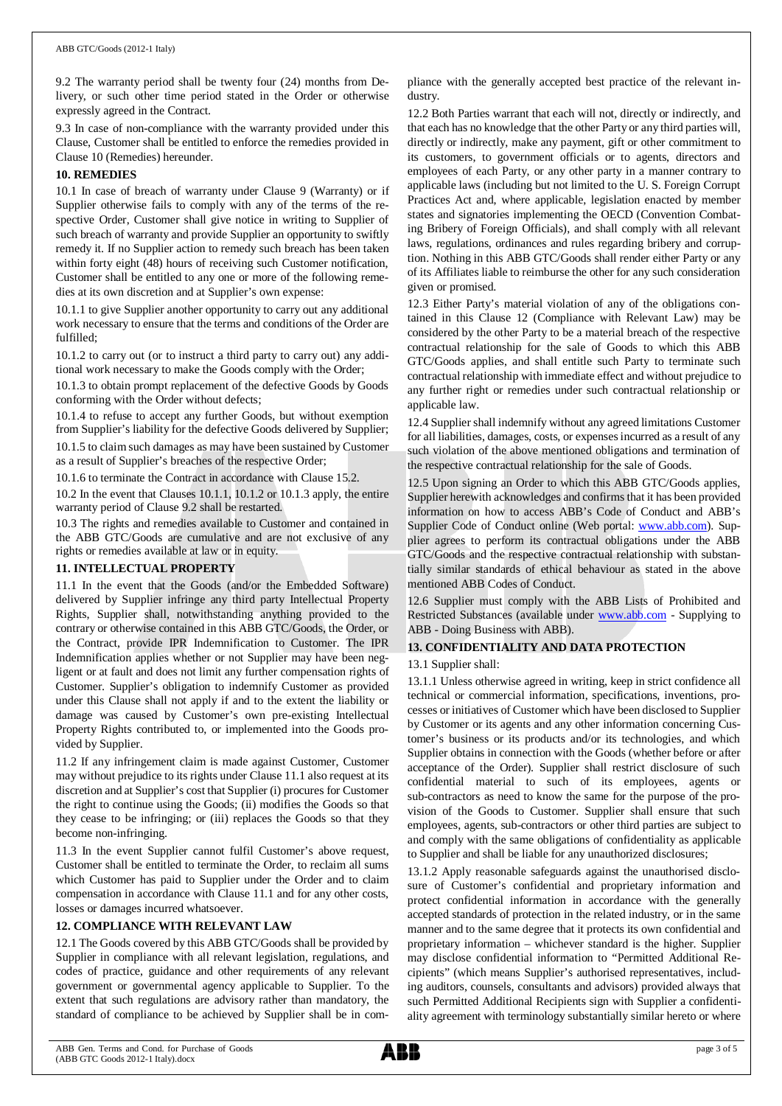#### ABB GTC/Goods (2012-1 Italy)

9.2 The warranty period shall be twenty four (24) months from Delivery, or such other time period stated in the Order or otherwise expressly agreed in the Contract.

9.3 In case of non-compliance with the warranty provided under this Clause, Customer shall be entitled to enforce the remedies provided in Clause 10 (Remedies) hereunder.

### **10. REMEDIES**

10.1 In case of breach of warranty under Clause 9 (Warranty) or if Supplier otherwise fails to comply with any of the terms of the respective Order, Customer shall give notice in writing to Supplier of such breach of warranty and provide Supplier an opportunity to swiftly remedy it. If no Supplier action to remedy such breach has been taken within forty eight (48) hours of receiving such Customer notification, Customer shall be entitled to any one or more of the following remedies at its own discretion and at Supplier's own expense:

10.1.1 to give Supplier another opportunity to carry out any additional work necessary to ensure that the terms and conditions of the Order are fulfilled;

10.1.2 to carry out (or to instruct a third party to carry out) any additional work necessary to make the Goods comply with the Order;

10.1.3 to obtain prompt replacement of the defective Goods by Goods conforming with the Order without defects;

10.1.4 to refuse to accept any further Goods, but without exemption from Supplier's liability for the defective Goods delivered by Supplier;

10.1.5 to claim such damages as may have been sustained by Customer as a result of Supplier's breaches of the respective Order;

10.1.6 to terminate the Contract in accordance with Clause 15.2.

10.2 In the event that Clauses 10.1.1, 10.1.2 or 10.1.3 apply, the entire warranty period of Clause 9.2 shall be restarted.

10.3 The rights and remedies available to Customer and contained in the ABB GTC/Goods are cumulative and are not exclusive of any rights or remedies available at law or in equity.

### **11. INTELLECTUAL PROPERTY**

11.1 In the event that the Goods (and/or the Embedded Software) delivered by Supplier infringe any third party Intellectual Property Rights, Supplier shall, notwithstanding anything provided to the contrary or otherwise contained in this ABB GTC/Goods, the Order, or the Contract, provide IPR Indemnification to Customer. The IPR Indemnification applies whether or not Supplier may have been negligent or at fault and does not limit any further compensation rights of Customer. Supplier's obligation to indemnify Customer as provided under this Clause shall not apply if and to the extent the liability or damage was caused by Customer's own pre-existing Intellectual Property Rights contributed to, or implemented into the Goods provided by Supplier.

11.2 If any infringement claim is made against Customer, Customer may without prejudice to its rights under Clause 11.1 also request at its discretion and at Supplier's cost that Supplier (i) procures for Customer the right to continue using the Goods; (ii) modifies the Goods so that they cease to be infringing; or (iii) replaces the Goods so that they become non-infringing.

11.3 In the event Supplier cannot fulfil Customer's above request, Customer shall be entitled to terminate the Order, to reclaim all sums which Customer has paid to Supplier under the Order and to claim compensation in accordance with Clause 11.1 and for any other costs, losses or damages incurred whatsoever.

## **12. COMPLIANCE WITH RELEVANT LAW**

12.1 The Goods covered by this ABB GTC/Goods shall be provided by Supplier in compliance with all relevant legislation, regulations, and codes of practice, guidance and other requirements of any relevant government or governmental agency applicable to Supplier. To the extent that such regulations are advisory rather than mandatory, the standard of compliance to be achieved by Supplier shall be in compliance with the generally accepted best practice of the relevant industry.

12.2 Both Parties warrant that each will not, directly or indirectly, and that each has no knowledge that the other Party or any third parties will, directly or indirectly, make any payment, gift or other commitment to its customers, to government officials or to agents, directors and employees of each Party, or any other party in a manner contrary to applicable laws (including but not limited to the U. S. Foreign Corrupt Practices Act and, where applicable, legislation enacted by member states and signatories implementing the OECD (Convention Combating Bribery of Foreign Officials), and shall comply with all relevant laws, regulations, ordinances and rules regarding bribery and corruption. Nothing in this ABB GTC/Goods shall render either Party or any of its Affiliates liable to reimburse the other for any such consideration given or promised.

12.3 Either Party's material violation of any of the obligations contained in this Clause 12 (Compliance with Relevant Law) may be considered by the other Party to be a material breach of the respective contractual relationship for the sale of Goods to which this ABB GTC/Goods applies, and shall entitle such Party to terminate such contractual relationship with immediate effect and without prejudice to any further right or remedies under such contractual relationship or applicable law.

12.4 Supplier shall indemnify without any agreed limitations Customer for all liabilities, damages, costs, or expenses incurred as a result of any such violation of the above mentioned obligations and termination of the respective contractual relationship for the sale of Goods.

12.5 Upon signing an Order to which this ABB GTC/Goods applies, Supplier herewith acknowledges and confirms that it has been provided information on how to access ABB's Code of Conduct and ABB's Supplier Code of Conduct online (Web portal: [www.abb.com](http://www.abb.com/)). Supplier agrees to perform its contractual obligations under the ABB GTC/Goods and the respective contractual relationship with substantially similar standards of ethical behaviour as stated in the above mentioned ABB Codes of Conduct.

12.6 Supplier must comply with the ABB Lists of Prohibited and Restricted Substances (available under [www.abb.com](http://www.abb.com/) - Supplying to ABB - Doing Business with ABB).

## **13. CONFIDENTIALITY AND DATA PROTECTION**

## 13.1 Supplier shall:

13.1.1 Unless otherwise agreed in writing, keep in strict confidence all technical or commercial information, specifications, inventions, processes or initiatives of Customer which have been disclosed to Supplier by Customer or its agents and any other information concerning Customer's business or its products and/or its technologies, and which Supplier obtains in connection with the Goods (whether before or after acceptance of the Order). Supplier shall restrict disclosure of such confidential material to such of its employees, agents or sub-contractors as need to know the same for the purpose of the provision of the Goods to Customer. Supplier shall ensure that such employees, agents, sub-contractors or other third parties are subject to and comply with the same obligations of confidentiality as applicable to Supplier and shall be liable for any unauthorized disclosures;

13.1.2 Apply reasonable safeguards against the unauthorised disclosure of Customer's confidential and proprietary information and protect confidential information in accordance with the generally accepted standards of protection in the related industry, or in the same manner and to the same degree that it protects its own confidential and proprietary information – whichever standard is the higher. Supplier may disclose confidential information to "Permitted Additional Recipients" (which means Supplier's authorised representatives, including auditors, counsels, consultants and advisors) provided always that such Permitted Additional Recipients sign with Supplier a confidentiality agreement with terminology substantially similar hereto or where

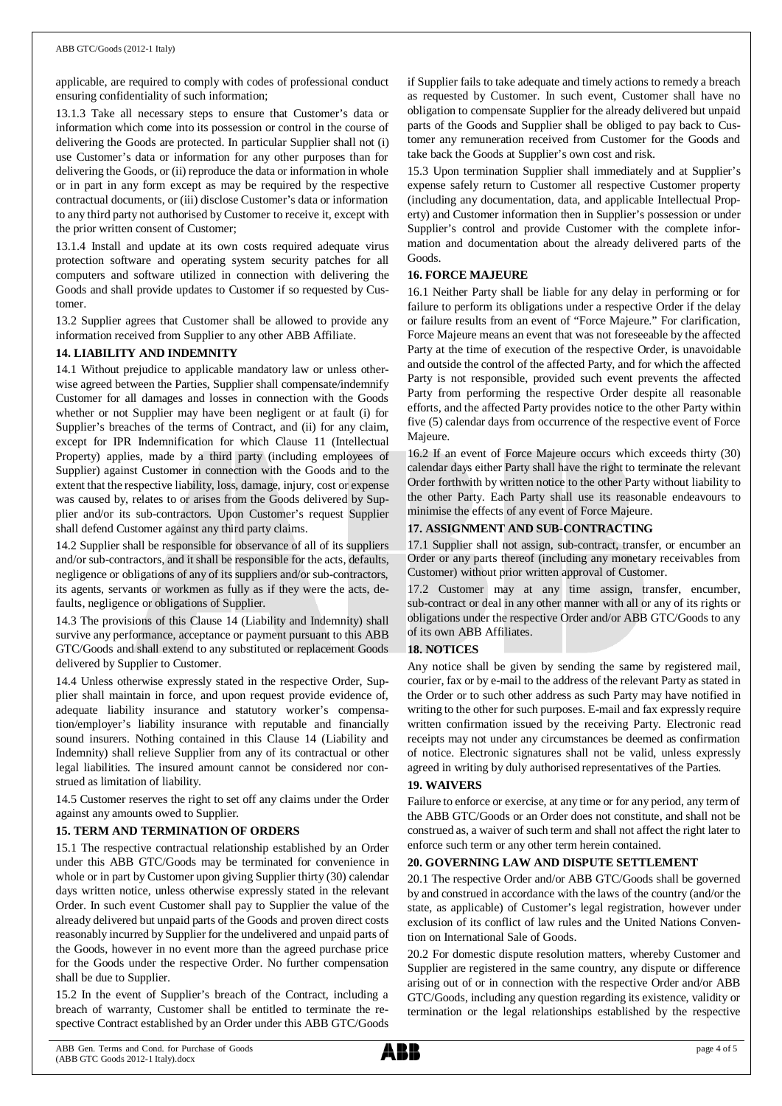applicable, are required to comply with codes of professional conduct ensuring confidentiality of such information;

13.1.3 Take all necessary steps to ensure that Customer's data or information which come into its possession or control in the course of delivering the Goods are protected. In particular Supplier shall not (i) use Customer's data or information for any other purposes than for delivering the Goods, or (ii) reproduce the data or information in whole or in part in any form except as may be required by the respective contractual documents, or (iii) disclose Customer's data or information to any third party not authorised by Customer to receive it, except with the prior written consent of Customer;

13.1.4 Install and update at its own costs required adequate virus protection software and operating system security patches for all computers and software utilized in connection with delivering the Goods and shall provide updates to Customer if so requested by Customer.

13.2 Supplier agrees that Customer shall be allowed to provide any information received from Supplier to any other ABB Affiliate.

## **14. LIABILITY AND INDEMNITY**

14.1 Without prejudice to applicable mandatory law or unless otherwise agreed between the Parties, Supplier shall compensate/indemnify Customer for all damages and losses in connection with the Goods whether or not Supplier may have been negligent or at fault (i) for Supplier's breaches of the terms of Contract, and (ii) for any claim, except for IPR Indemnification for which Clause 11 (Intellectual Property) applies, made by a third party (including employees of Supplier) against Customer in connection with the Goods and to the extent that the respective liability, loss, damage, injury, cost or expense was caused by, relates to or arises from the Goods delivered by Supplier and/or its sub-contractors. Upon Customer's request Supplier shall defend Customer against any third party claims.

14.2 Supplier shall be responsible for observance of all of its suppliers and/or sub-contractors, and it shall be responsible for the acts, defaults, negligence or obligations of any of its suppliers and/or sub-contractors, its agents, servants or workmen as fully as if they were the acts, defaults, negligence or obligations of Supplier.

14.3 The provisions of this Clause 14 (Liability and Indemnity) shall survive any performance, acceptance or payment pursuant to this ABB GTC/Goods and shall extend to any substituted or replacement Goods delivered by Supplier to Customer.

14.4 Unless otherwise expressly stated in the respective Order, Supplier shall maintain in force, and upon request provide evidence of, adequate liability insurance and statutory worker's compensation/employer's liability insurance with reputable and financially sound insurers. Nothing contained in this Clause 14 (Liability and Indemnity) shall relieve Supplier from any of its contractual or other legal liabilities. The insured amount cannot be considered nor construed as limitation of liability.

14.5 Customer reserves the right to set off any claims under the Order against any amounts owed to Supplier.

## **15. TERM AND TERMINATION OF ORDERS**

15.1 The respective contractual relationship established by an Order under this ABB GTC/Goods may be terminated for convenience in whole or in part by Customer upon giving Supplier thirty (30) calendar days written notice, unless otherwise expressly stated in the relevant Order. In such event Customer shall pay to Supplier the value of the already delivered but unpaid parts of the Goods and proven direct costs reasonably incurred by Supplier for the undelivered and unpaid parts of the Goods, however in no event more than the agreed purchase price for the Goods under the respective Order. No further compensation shall be due to Supplier.

15.2 In the event of Supplier's breach of the Contract, including a breach of warranty, Customer shall be entitled to terminate the respective Contract established by an Order under this ABB GTC/Goods

if Supplier fails to take adequate and timely actions to remedy a breach as requested by Customer. In such event, Customer shall have no obligation to compensate Supplier for the already delivered but unpaid parts of the Goods and Supplier shall be obliged to pay back to Customer any remuneration received from Customer for the Goods and take back the Goods at Supplier's own cost and risk.

15.3 Upon termination Supplier shall immediately and at Supplier's expense safely return to Customer all respective Customer property (including any documentation, data, and applicable Intellectual Property) and Customer information then in Supplier's possession or under Supplier's control and provide Customer with the complete information and documentation about the already delivered parts of the Goods.

## **16. FORCE MAJEURE**

16.1 Neither Party shall be liable for any delay in performing or for failure to perform its obligations under a respective Order if the delay or failure results from an event of "Force Majeure." For clarification, Force Majeure means an event that was not foreseeable by the affected Party at the time of execution of the respective Order, is unavoidable and outside the control of the affected Party, and for which the affected Party is not responsible, provided such event prevents the affected Party from performing the respective Order despite all reasonable efforts, and the affected Party provides notice to the other Party within five (5) calendar days from occurrence of the respective event of Force Majeure.

16.2 If an event of Force Majeure occurs which exceeds thirty (30) calendar days either Party shall have the right to terminate the relevant Order forthwith by written notice to the other Party without liability to the other Party. Each Party shall use its reasonable endeavours to minimise the effects of any event of Force Majeure.

## **17. ASSIGNMENT AND SUB-CONTRACTING**

17.1 Supplier shall not assign, sub-contract, transfer, or encumber an Order or any parts thereof (including any monetary receivables from Customer) without prior written approval of Customer.

17.2 Customer may at any time assign, transfer, encumber, sub-contract or deal in any other manner with all or any of its rights or obligations under the respective Order and/or ABB GTC/Goods to any of its own ABB Affiliates.

## **18. NOTICES**

Any notice shall be given by sending the same by registered mail, courier, fax or by e-mail to the address of the relevant Party as stated in the Order or to such other address as such Party may have notified in writing to the other for such purposes. E-mail and fax expressly require written confirmation issued by the receiving Party. Electronic read receipts may not under any circumstances be deemed as confirmation of notice. Electronic signatures shall not be valid, unless expressly agreed in writing by duly authorised representatives of the Parties.

## **19. WAIVERS**

Failure to enforce or exercise, at any time or for any period, any term of the ABB GTC/Goods or an Order does not constitute, and shall not be construed as, a waiver of such term and shall not affect the right later to enforce such term or any other term herein contained.

## **20. GOVERNING LAW AND DISPUTE SETTLEMENT**

20.1 The respective Order and/or ABB GTC/Goods shall be governed by and construed in accordance with the laws of the country (and/or the state, as applicable) of Customer's legal registration, however under exclusion of its conflict of law rules and the United Nations Convention on International Sale of Goods.

20.2 For domestic dispute resolution matters, whereby Customer and Supplier are registered in the same country, any dispute or difference arising out of or in connection with the respective Order and/or ABB GTC/Goods, including any question regarding its existence, validity or termination or the legal relationships established by the respective